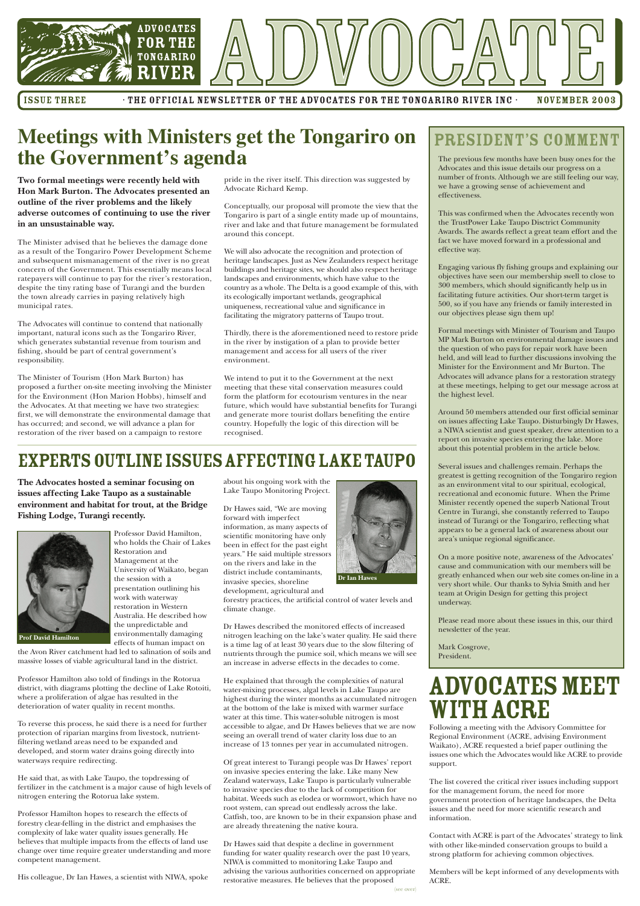

ISSUE THREE THE OFFICIAL NEWSLETTER OF THE ADVOCATES FOR THE TONGARIRO RIVER INC · NOVEMBER 2003

### **Meetings with Ministers get the Tongariro on the Government's agenda**

**Two formal meetings were recently held with Hon Mark Burton. The Advocates presented an outline of the river problems and the likely adverse outcomes of continuing to use the river in an unsustainable way.**

The Minister advised that he believes the damage done as a result of the Tongariro Power Development Scheme and subsequent mismanagement of the river is no great concern of the Government. This essentially means local ratepayers will continue to pay for the river's restoration, despite the tiny rating base of Turangi and the burden the town already carries in paying relatively high municipal rates<sup>.</sup>

The Advocates will continue to contend that nationally important, natural icons such as the Tongariro River, which generates substantial revenue from tourism and fishing, should be part of central government's responsibility.

The Minister of Tourism (Hon Mark Burton) has proposed a further on-site meeting involving the Minister for the Environment (Hon Marion Hobbs), himself and the Advocates. At that meeting we have two strategies: first, we will demonstrate the environmental damage that has occurred; and second, we will advance a plan for restoration of the river based on a campaign to restore

pride in the river itself. This direction was suggested by Advocate Richard Kemp.

Conceptually, our proposal will promote the view that the Tongariro is part of a single entity made up of mountains, river and lake and that future management be formulated around this concept.

We will also advocate the recognition and protection of heritage landscapes. Just as New Zealanders respect heritage buildings and heritage sites, we should also respect heritage landscapes and environments, which have value to the country as a whole. The Delta is a good example of this, with its ecologically important wetlands, geographical uniqueness, recreational value and significance in facilitating the migratory patterns of Taupo trout.

Thirdly, there is the aforementioned need to restore pride in the river by instigation of a plan to provide better management and access for all users of the river environment.

We intend to put it to the Government at the next meeting that these vital conservation measures could form the platform for ecotourism ventures in the near future, which would have substantial benefits for Turangi and generate more tourist dollars benefiting the entire country. Hopefully the logic of this direction will be recognised

## EXPERTS OUTLINE ISSUES AFFECTING LAKE TAUPO

**The Advocates hosted a seminar focusing on issues affecting Lake Taupo as a sustainable environment and habitat for trout, at the Bridge Fishing Lodge, Turangi recently.**



Professor David Hamilton, who holds the Chair of Lakes Restoration and Management at the University of Waikato, began the session with a presentation outlining his work with waterway restoration in Western Australia. He described how the unpredictable and environmentally damaging

effects of human impact on the Avon River catchment had led to salination of soils and massive losses of viable agricultural land in the district.

deterioration of water quality in recent months.

Professor Hamilton also told of findings in the Rotorua district, with diagrams plotting the decline of Lake Rotoiti, where a proliferation of algae has resulted in the

To reverse this process, he said there is a need for further protection of riparian margins from livestock, nutrientfiltering wetland areas need to be expanded and developed, and storm water drains going directly into waterways require redirecting.

He said that, as with Lake Taupo, the topdressing of fertilizer in the catchment is a major cause of high levels of nitrogen entering the Rotorua lake system.

Professor Hamilton hopes to research the effects of forestry clear-felling in the district and emphasises the complexity of lake water quality issues generally. He believes that multiple impacts from the effects of land use change over time require greater understanding and more competent management.

His colleague, Dr Ian Hawes, a scientist with NIWA, spoke

about his ongoing work with the Lake Taupo Monitoring Project.

Dr Hawes said, "We are moving forward with imperfect information, as many aspects of scientific monitoring have only been in effect for the past eight years." He said multiple stressors on the rivers and lake in the district include contaminants, invasive species, shoreline development, agricultural and



forestry practices, the artificial control of water levels and climate change.

Dr Hawes described the monitored effects of increased nitrogen leaching on the lake's water quality. He said there is a time lag of at least 30 years due to the slow filtering of nutrients through the pumice soil, which means we will see an increase in adverse effects in the decades to come.

He explained that through the complexities of natural water-mixing processes, algal levels in Lake Taupo are highest during the winter months as accumulated nitrogen at the bottom of the lake is mixed with warmer surface water at this time. This water-soluble nitrogen is most accessible to algae, and Dr Hawes believes that we are now seeing an overall trend of water clarity loss due to an increase of 13 tonnes per year in accumulated nitrogen.

Of great interest to Turangi people was Dr Hawes' report on invasive species entering the lake. Like many New Zealand waterways, Lake Taupo is particularly vulnerable to invasive species due to the lack of competition for habitat. Weeds such as elodea or wormwort, which have no root system, can spread out endlessly across the lake. Catfish, too, are known to be in their expansion phase and are already threatening the native koura.

Dr Hawes said that despite a decline in government funding for water quality research over the past 10 years, NIWA is committed to monitoring Lake Taupo and advising the various authorities concerned on appropriate restorative measures. He believes that the proposed (see over)

#### PRESIDENT'S COMMENT

The previous few months have been busy ones for the Advocates and this issue details our progress on a number of fronts. Although we are still feeling our way, we have a growing sense of achievement and effectiveness.

This was confirmed when the Advocates recently won the TrustPower Lake Taupo Disctrict Community Awards. The awards reflect a great team effort and the fact we have moved forward in a professional and effective way.

Engaging various fly fishing groups and explaining our objectives have seen our membership swell to close to 300 members, which should significantly help us in facilitating future activities. Our short-term target is 500, so if you have any friends or family interested in our objectives please sign them up!

Formal meetings with Minister of Tourism and Taupo MP Mark Burton on environmental damage issues and the question of who pays for repair work have been held, and will lead to further discussions involving the Minister for the Environment and Mr Burton. The Advocates will advance plans for a restoration strategy at these meetings, helping to get our message across at the highest level.

Around 50 members attended our first official seminar on issues affecting Lake Taupo. Disturbingly Dr Hawes, a NIWA scientist and guest speaker, drew attention to a report on invasive species entering the lake. More about this potential problem in the article below.

Several issues and challenges remain. Perhaps the greatest is getting recognition of the Tongariro region as an environment vital to our spiritual, ecological, recreational and economic future. When the Prime Minister recently opened the superb National Trout Centre in Turangi, she constantly referred to Taupo instead of Turangi or the Tongariro, reflecting what appears to be a general lack of awareness about our area's unique regional significance.

On a more positive note, awareness of the Advocates' cause and communication with our members will be greatly enhanced when our web site comes on-line in a very short while. Our thanks to Sylvia Smith and her team at Origin Design for getting this project underway.

Please read more about these issues in this, our third newsletter of the year.

Mark Cosgrove, President.

## Advocates meet with ACRE

Following a meeting with the Advisory Committee for Regional Environment (ACRE, advising Environment Waikato), ACRE requested a brief paper outlining the issues one which the Advocates would like ACRE to provide support.

The list covered the critical river issues including support for the management forum, the need for more government protection of heritage landscapes, the Delta issues and the need for more scientific research and information.

Contact with ACRE is part of the Advocates' strategy to link with other like-minded conservation groups to build a strong platform for achieving common objectives.

Members will be kept informed of any developments with ACRE.